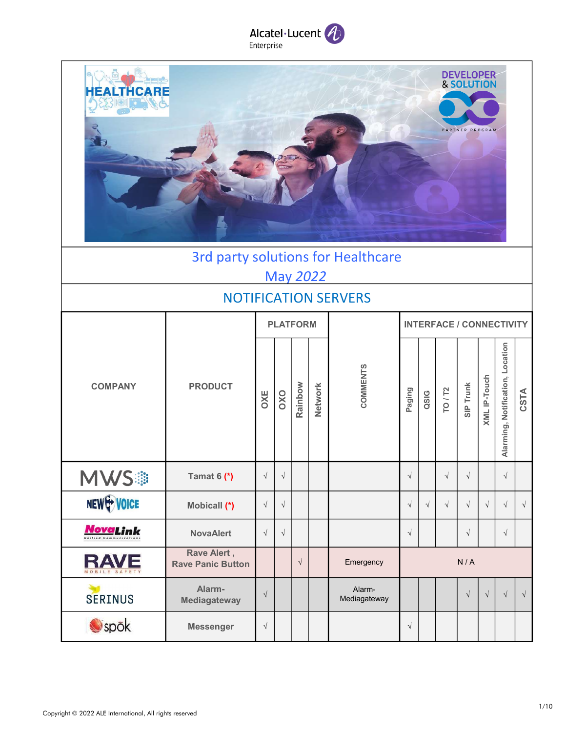



# 3rd party solutions for Healthcare May 2022

#### NOTIFICATION SERVERS

|                         |                                         |            |            | <b>PLATFORM</b> |         |                        |                      |           |                | <b>INTERFACE / CONNECTIVITY</b> |                     |                                  |            |
|-------------------------|-----------------------------------------|------------|------------|-----------------|---------|------------------------|----------------------|-----------|----------------|---------------------------------|---------------------|----------------------------------|------------|
| <b>COMPANY</b>          | <b>PRODUCT</b>                          | OXE        | OXO        | Rainbow         | Network | COMMENTS               | Paging               | QSIG      | <b>TO / T2</b> | <b>SIP Trunk</b>                | <b>XML IP-Touch</b> | Alarming, Notification, Location | CSTA       |
| <b>MWS</b> <sup>®</sup> | Tamat $6$ (*)                           | $\sqrt{}$  | $\sqrt{}$  |                 |         |                        | $\sqrt{ }$           |           | $\sqrt{ }$     | $\sqrt{ }$                      |                     | $\sqrt{ }$                       |            |
| NEW WOICE               | Mobicall (*)                            | $\sqrt{}$  | $\sqrt{}$  |                 |         |                        | $\sqrt{ }$           | $\sqrt{}$ | $\sqrt{ }$     | $\sqrt{ }$                      | $\sqrt{ }$          | $\sqrt{ }$                       | $\sqrt{ }$ |
| <b>NovaLink</b>         | <b>NovaAlert</b>                        | $\sqrt{ }$ | $\sqrt{ }$ |                 |         |                        | $\sqrt{\phantom{a}}$ |           |                | $\sqrt{ }$                      |                     | $\sqrt{ }$                       |            |
| <b>RAVE</b>             | Rave Alert,<br><b>Rave Panic Button</b> |            |            | $\sqrt{ }$      |         | Emergency              |                      |           |                | N/A                             |                     |                                  |            |
| <b>SERINUS</b>          | Alarm-<br>Mediagateway                  | $\sqrt{ }$ |            |                 |         | Alarm-<br>Mediagateway |                      |           |                | $\sqrt{ }$                      | $\sqrt{}$           | $\sqrt{ }$                       | $\sqrt{ }$ |
| spök                    | <b>Messenger</b>                        | $\sqrt{ }$ |            |                 |         |                        | $\sqrt{ }$           |           |                |                                 |                     |                                  |            |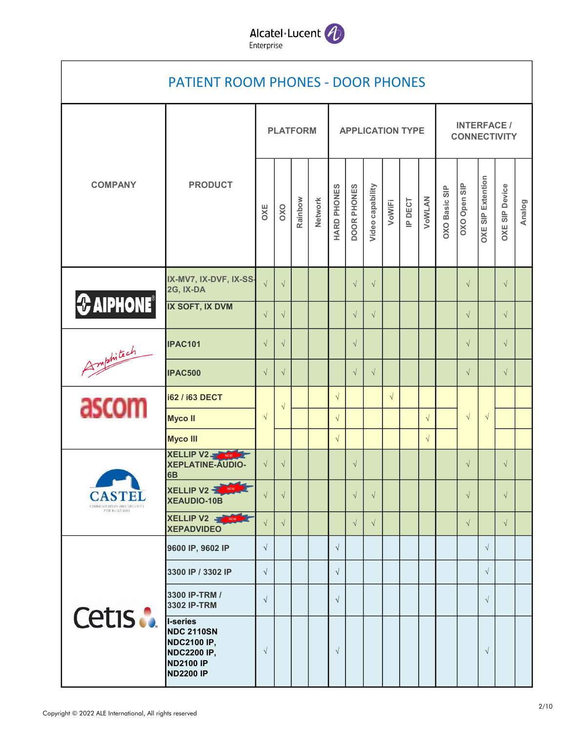

## PATIENT ROOM PHONES - DOOR PHONES

|                                             |                                                                                                            |            | <b>PLATFORM</b>      |         |         |                      |                      |                  |           | <b>APPLICATION TYPE</b> |            | <b>INTERFACE /</b><br><b>CONNECTIVITY</b> |              |                          |                       |        |  |  |
|---------------------------------------------|------------------------------------------------------------------------------------------------------------|------------|----------------------|---------|---------|----------------------|----------------------|------------------|-----------|-------------------------|------------|-------------------------------------------|--------------|--------------------------|-----------------------|--------|--|--|
| <b>COMPANY</b>                              | <b>PRODUCT</b>                                                                                             | OXE        | oxo                  | Rainbow | Network | HARD PHONES          | DOOR PHONES          | Video capability | VoWIFI    | IP DECT                 | VOWLAN     | OXO Basic SIP                             | OXO Open SIP | <b>OXE SIP Extention</b> | <b>OXE SIP Device</b> | Analog |  |  |
|                                             | IX-MV7, IX-DVF, IX-SS-<br>2G, IX-DA                                                                        | $\sqrt{}$  | $\sqrt{}$            |         |         |                      | $\sqrt{}$            | $\sqrt{}$        |           |                         |            |                                           | $\sqrt{}$    |                          | $\sqrt{ }$            |        |  |  |
| $\bigotimes$ AIPHONE <sup>®</sup>           | IX SOFT, IX DVM                                                                                            | $\sqrt{ }$ | $\sqrt{}$            |         |         |                      | $\sqrt{}$            | $\sqrt{}$        |           |                         |            |                                           | $\sqrt{}$    |                          | $\sqrt{ }$            |        |  |  |
|                                             | <b>IPAC101</b>                                                                                             | $\sqrt{}$  | $\sqrt{\phantom{a}}$ |         |         |                      | $\sqrt{\phantom{a}}$ |                  |           |                         |            |                                           | $\sqrt{}$    |                          | $\sqrt{}$             |        |  |  |
| Amphitach                                   | <b>IPAC500</b>                                                                                             | $\sqrt{ }$ | $\sqrt{}$            |         |         |                      | $\sqrt{}$            | $\sqrt{}$        |           |                         |            |                                           | $\sqrt{}$    |                          | $\sqrt{}$             |        |  |  |
| ascom                                       | <b>i62 / i63 DECT</b>                                                                                      |            | $\sqrt{ }$           |         |         | $\sqrt{}$            |                      |                  | $\sqrt{}$ |                         |            |                                           |              |                          |                       |        |  |  |
|                                             | <b>Myco II</b>                                                                                             | $\sqrt{ }$ |                      |         |         | $\sqrt{}$            |                      |                  |           |                         | $\sqrt{}$  |                                           | $\sqrt{}$    | $\sqrt{}$                |                       |        |  |  |
|                                             | <b>Myco III</b><br><b>XELLIP V2-3</b><br>NEW <b>REA</b>                                                    |            |                      |         |         | $\sqrt{\phantom{a}}$ |                      |                  |           |                         | $\sqrt{ }$ |                                           |              |                          |                       |        |  |  |
|                                             | XEPLATINE-AUDIO-<br>6B                                                                                     | $\sqrt{}$  | $\sqrt{}$            |         |         |                      | $\sqrt{\phantom{a}}$ |                  |           |                         |            |                                           | $\sqrt{}$    |                          | $\sqrt{ }$            |        |  |  |
| <b>CASTEL</b><br>COMMUNICATION AND SECURITY | XELLIP V2<br><b>XEAUDIO-10B</b>                                                                            |            | $\sqrt{}$            |         |         |                      | $\sqrt{}$            | $\sqrt{ }$       |           |                         |            |                                           | $\sqrt{}$    |                          | $\sqrt{ }$            |        |  |  |
| FOR BUILDINGS                               | XELLIP V2<br><b>XEPADVIDEO</b>                                                                             | $\sqrt{ }$ | $\sqrt{ }$           |         |         |                      | $\sqrt{ }$           | $\sqrt{ }$       |           |                         |            |                                           | $\sqrt{ }$   |                          | $\sqrt{ }$            |        |  |  |
|                                             | 9600 IP, 9602 IP                                                                                           | $\sqrt{ }$ |                      |         |         | $\sqrt{ }$           |                      |                  |           |                         |            |                                           |              | $\sqrt{}$                |                       |        |  |  |
|                                             | 3300 IP / 3302 IP                                                                                          | $\sqrt{ }$ |                      |         |         | $\sqrt{ }$           |                      |                  |           |                         |            |                                           |              | $\sqrt{}$                |                       |        |  |  |
|                                             | 3300 IP-TRM /<br>3302 IP-TRM                                                                               | $\sqrt{ }$ |                      |         |         | $\sqrt{ }$           |                      |                  |           |                         |            |                                           |              | $\sqrt{}$                |                       |        |  |  |
| Cetis :                                     | I-series<br><b>NDC 2110SN</b><br><b>NDC2100 IP,</b><br><b>NDC2200 IP,</b><br>ND2100 IP<br><b>ND2200 IP</b> | $\sqrt{ }$ |                      |         |         | $\sqrt{ }$           |                      |                  |           |                         |            |                                           |              | $\sqrt{}$                |                       |        |  |  |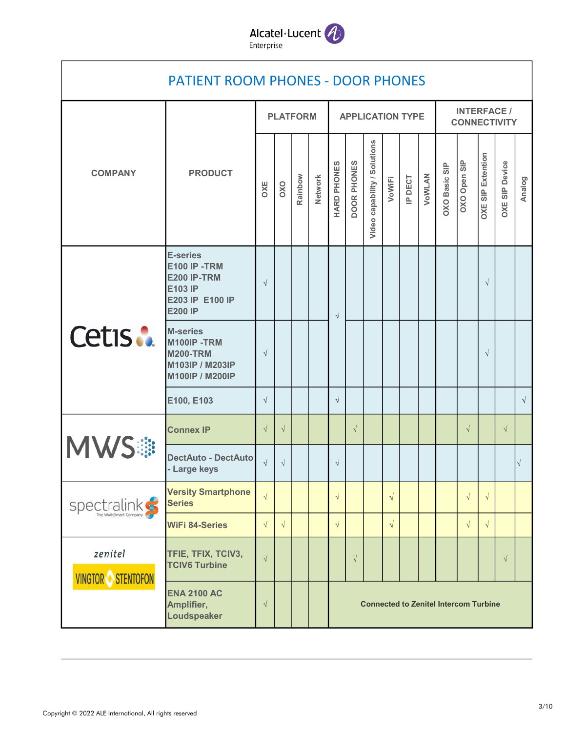

|                                     | <b>PATIENT ROOM PHONES - DOOR PHONES</b>                                                                     |            |            |                 |                |             |                    |                              |            |         |        |               |                                              |                          |                       |            |
|-------------------------------------|--------------------------------------------------------------------------------------------------------------|------------|------------|-----------------|----------------|-------------|--------------------|------------------------------|------------|---------|--------|---------------|----------------------------------------------|--------------------------|-----------------------|------------|
|                                     |                                                                                                              |            |            | <b>PLATFORM</b> |                |             |                    | <b>APPLICATION TYPE</b>      |            |         |        |               | <b>INTERFACE /</b><br><b>CONNECTIVITY</b>    |                          |                       |            |
| <b>COMPANY</b>                      | <b>PRODUCT</b>                                                                                               | OXE        | OXO        | Rainbow         | <b>Network</b> | HARD PHONES | <b>DOOR PHONES</b> | Video capability / Solutions | VoWIFi     | IP DECT | VOWLAN | OXO Basic SIP | OXO Open SIP                                 | <b>OXE SIP Extention</b> | <b>OXE SIP Device</b> | Analog     |
|                                     | <b>E-series</b><br><b>E100 IP -TRM</b><br><b>E200 IP-TRM</b><br>E103 IP<br>E203 IP E100 IP<br><b>E200 IP</b> | $\sqrt{ }$ |            |                 |                | $\sqrt{}$   |                    |                              |            |         |        |               |                                              | $\sqrt{ }$               |                       |            |
| Cetis :                             | <b>M-series</b><br>M100IP-TRM<br><b>M200-TRM</b><br>M103IP / M203IP<br>M100IP / M200IP                       | $\sqrt{ }$ |            |                 |                |             |                    |                              |            |         |        |               |                                              | $\sqrt{ }$               |                       |            |
|                                     | E100, E103                                                                                                   | $\sqrt{ }$ |            |                 |                | $\sqrt{ }$  |                    |                              |            |         |        |               |                                              |                          |                       | $\sqrt{ }$ |
|                                     | <b>Connex IP</b>                                                                                             | $\sqrt{ }$ | $\sqrt{ }$ |                 |                |             | $\sqrt{ }$         |                              |            |         |        |               | $\sqrt{ }$                                   |                          | $\sqrt{ }$            |            |
| <b>MWS#</b>                         | <b>DectAuto - DectAuto</b><br>- Large keys                                                                   | $\sqrt{ }$ | $\sqrt{ }$ |                 |                | $\sqrt{ }$  |                    |                              |            |         |        |               |                                              |                          |                       | $\sqrt{}$  |
| spectralinks                        | <b>Versity Smartphone</b><br><b>Series</b>                                                                   | $\sqrt{ }$ |            |                 |                | $\sqrt{}$   |                    |                              | $\sqrt{ }$ |         |        |               | $\sqrt{ }$                                   | $\sqrt{ }$               |                       |            |
| The World'smart Compa               | <b>WiFi 84-Series</b>                                                                                        | $\sqrt{ }$ | $\sqrt{ }$ |                 |                | $\sqrt{}$   |                    |                              | $\sqrt{ }$ |         |        |               | $\sqrt{ }$                                   | $\sqrt{ }$               |                       |            |
| zenitel<br><b>VINGTOR STENTOFON</b> | TFIE, TFIX, TCIV3,<br><b>TCIV6 Turbine</b>                                                                   | $\sqrt{}$  |            |                 |                |             | $\sqrt{}$          |                              |            |         |        |               |                                              |                          | $\sqrt{}$             |            |
|                                     | <b>ENA 2100 AC</b><br>Amplifier,<br>Loudspeaker                                                              | $\sqrt{ }$ |            |                 |                |             |                    |                              |            |         |        |               | <b>Connected to Zenitel Intercom Turbine</b> |                          |                       |            |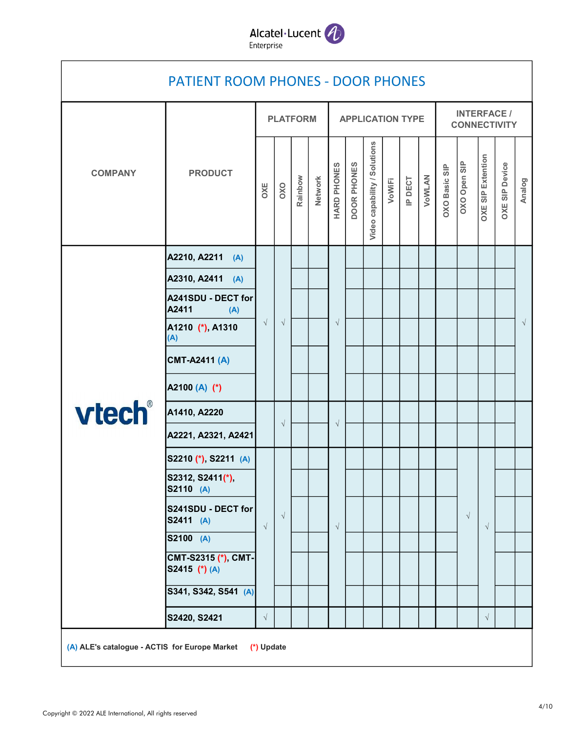

## A2210, A2211 (A) A2310, A2411 (A) A241SDU - DECT for A2411 (A) A1210 (\*), A1310 (A) CMT-A2411 (A) A2100 (A) (\*) A1410, A2220 A2221, A2321, A2421 S2210 (\*), S2211 (A) S2312, S2411(\*), S2110 (A) S241SDU - DECT for S2411 (A) S2100 (A) CMT-S2315 (\*), CMT-S2415 (\*) (A) S341, S342, S541 (A) S2420, S2421 √ │ │ │ │ │ │ │ │ │ │ │ │ │ COMPANY PRODUCT<br>  $\frac{1}{2}$  B  $\frac{1}{2}$  B  $\frac{1}{2}$  B  $\frac{1}{2}$  B  $\frac{1}{2}$  B  $\frac{1}{2}$  B  $\frac{1}{2}$  B  $\frac{1}{2}$  B  $\frac{1}{2}$  B  $\frac{1}{2}$  B  $\frac{1}{2}$  B  $\frac{1}{2}$  B  $\frac{1}{2}$  B  $\frac{1}{2}$  B  $\frac{1}{2}$  B  $\frac{1}{2}$  B  $\frac{1}{2}$  B √ <sup>√</sup> OXO Basic SIP √ √ √ √ PATIENT ROOM PHONES - DOOR PHONES COMPANY PRODUCT PLATFORM APPLICATION TYPE INTERFACE / **CONNECTIVITY** Network<br>
HARD PHONES<br>
DOOR PHONES<br>
Video capability / Solutions<br>
VOWEI<br>
IP DECT<br>
OXO Basic SIP<br>
OXE SIP Extention<br>
OXE SIP Extention<br>
OXE SIP Extention<br>
OXE SIP Device √ √ √ √ √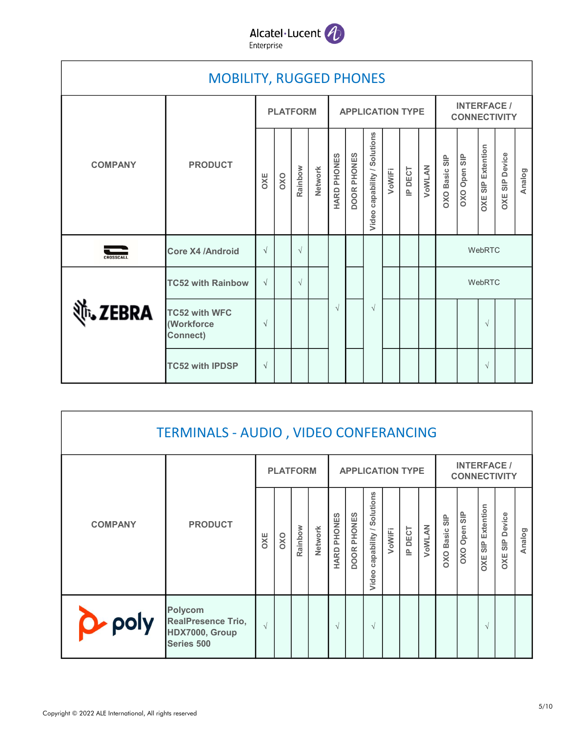

|                   | <b>MOBILITY, RUGGED PHONES</b>                        |            |     |                 |                |             |             |                              |        |                         |        |                      |                                           |                          |                       |        |
|-------------------|-------------------------------------------------------|------------|-----|-----------------|----------------|-------------|-------------|------------------------------|--------|-------------------------|--------|----------------------|-------------------------------------------|--------------------------|-----------------------|--------|
|                   |                                                       |            |     | <b>PLATFORM</b> |                |             |             |                              |        | <b>APPLICATION TYPE</b> |        |                      | <b>INTERFACE /</b><br><b>CONNECTIVITY</b> |                          |                       |        |
| <b>COMPANY</b>    | <b>PRODUCT</b>                                        | OXE        | OXO | Rainbow         | <b>Network</b> | HARD PHONES | DOOR PHONES | Video capability / Solutions | VoWIFI | IP DECT                 | VoWLAN | <b>OXO Basic SIP</b> | OXO Open SIP                              | <b>OXE SIP Extention</b> | <b>OXE SIP Device</b> | Analog |
| CROSSCALL         | <b>Core X4 /Android</b>                               | $\sqrt{ }$ |     | $\sqrt{ }$      |                |             |             |                              |        |                         |        |                      |                                           | WebRTC                   |                       |        |
|                   | <b>TC52 with Rainbow</b>                              | $\sqrt{ }$ |     | $\sqrt{ }$      |                |             |             |                              |        |                         |        |                      |                                           | WebRTC                   |                       |        |
| <b>With ZEBRA</b> | <b>TC52 with WFC</b><br>(Workforce<br><b>Connect)</b> | $\sqrt{ }$ |     |                 |                | $\sqrt{ }$  |             | $\sqrt{ }$                   |        |                         |        |                      |                                           | $\sqrt{ }$               |                       |        |
|                   | <b>TC52 with IPDSP</b>                                | $\sqrt{ }$ |     |                 |                |             |             |                              |        |                         |        |                      |                                           | $\sqrt{ }$               |                       |        |
|                   |                                                       |            |     |                 |                |             |             |                              |        |                         |        |                      |                                           |                          |                       |        |
|                   | TERMINALS - AUDIO, VIDEO CONFERANCING                 |            |     |                 |                |             |             |                              |        |                         |        |                      |                                           |                          |                       |        |
|                   |                                                       |            |     | <b>PLATFORM</b> |                |             |             |                              |        | <b>APPLICATION TYPE</b> |        |                      | <b>INTERFACE /</b><br><b>CONNECTIVITY</b> |                          |                       |        |
| <b>COMPANY</b>    | <b>PRODUCT</b>                                        | OXE        | OXO | Rainbow         | Network        | HARD PHONES | DOOR PHONES | Video capability / Solutions | VoWIFI | IP DECT                 | VoWLAN | OXO Basic SIP        | OXO Open SIP                              | <b>OXE SIP Extention</b> | <b>OXE SIP Device</b> | Analog |

|                | <b>TERMINALS - AUDIO, VIDEO CONFERANCING</b>                                |            |     |                 |         |                            |             |                                    |        |         |        |                      |                                           |                          |                          |        |  |  |
|----------------|-----------------------------------------------------------------------------|------------|-----|-----------------|---------|----------------------------|-------------|------------------------------------|--------|---------|--------|----------------------|-------------------------------------------|--------------------------|--------------------------|--------|--|--|
|                |                                                                             |            |     | <b>PLATFORM</b> |         | <b>APPLICATION TYPE</b>    |             |                                    |        |         |        |                      | <b>INTERFACE /</b><br><b>CONNECTIVITY</b> |                          |                          |        |  |  |
| <b>COMPANY</b> | <b>PRODUCT</b>                                                              | OXE        | OXO | Rainbow         | Network | PHONES<br><b>ARD</b><br>ΞÌ | DOOR PHONES | Solutions<br>capability /<br>Video | VoWIFI | IP DECT | VOWLAN | <b>OXO Basic SIP</b> | OXO Open SIP                              | <b>OXE SIP Extention</b> | <b>SIP Device</b><br>OXE | Analog |  |  |
| <b>poly</b>    | <b>Polycom</b><br><b>RealPresence Trio,</b><br>HDX7000, Group<br>Series 500 | $\sqrt{ }$ |     |                 |         | $\sim$                     |             | $\sqrt{ }$                         |        |         |        |                      |                                           | $\sqrt{ }$               |                          |        |  |  |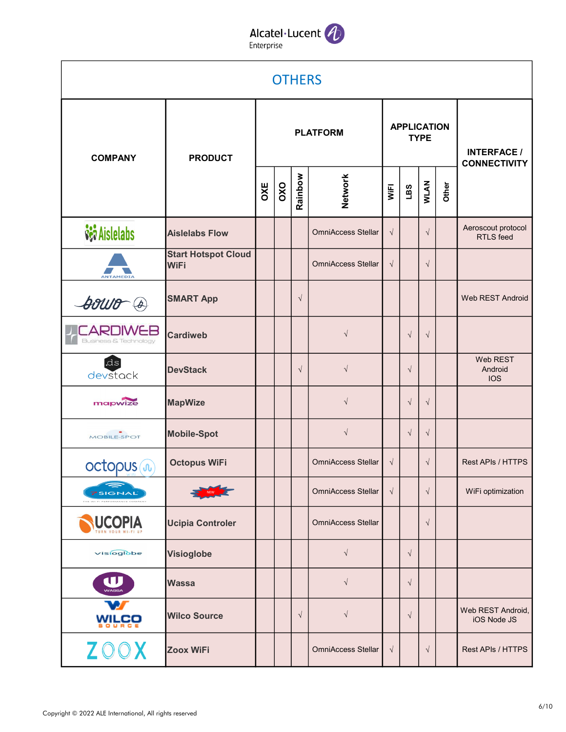#### Alcatel·Lucent 4 Enterprise

**OTHERS** PLATFORM **APPLICATION** TYPE INTERFACE / **COMPANY** PRODUCT **CONNECTIVITY**  $\begin{array}{c|c|c|c|c} \text{OX} & \text{S} & \text{S} & \text{S} & \text{S} & \text{S} & \text{S} & \text{S} & \text{S} & \text{S} & \text{S} & \text{S} & \text{S} & \text{S} & \text{S} & \text{S} & \text{S} & \text{S} & \text{S} & \text{S} & \text{S} & \text{S} & \text{S} & \text{S} & \text{S} & \text{S} & \text{S} & \text{S} & \text{S} & \text{S} & \text{S} & \text{S} & \text{S} & \text{S} &$ Network<br>
WIEL<br>
UBS<br>
Other<br>
Other *sai* Aislelabs Aeroscout protocol Aislelabs Flow  $\|\cdot\|$  |  $\|\cdot\|$  OmniAccess Stellar  $\|\cdot\|$  |  $\|\cdot\|$ OmniAccess Stellar RTLS feed Start Hotspot Cloud WiFi │ │ │ │ │ │ │ OmniAccess Stellar │ √ │ │ √ **NTAMEDI** SMART App **│ │** │ √ Web REST Android **Souro** @ **CARDIWEB** √ Cardiweb √ √ Web REST ds. √ DevStack √ √ Android devstack IOS mapwize √ MapWize │ │ │ │ √ │ │ √ │ √ Mobile-Spot √ √ √ MOBILE-SPOT **Octopus WiFi** │ │ │ │ │ ○mniAccess Stellar │ √ │ │ √ OmniAccess Stellar Rest APIs / HTTPS octopus (n) OmniAccess Stellar  $\vert \sqrt{\vert} \vert \sqrt{\vert} \vert$  WiFi optimization √ √ **7SIGNAL UCOPIA** Ucipia Controler | | | | OmniAccess Stellar | | √ OmniAccess Stellar √ visioglobe Visioglobe √ U √ Wassa √ Web REST Android, Wilco Source √ √ √ **WILCO** iOS Node JS Zoox WiFi │ │ │ │ │ │ OmniAccess Stellar │ √ │ │ √ Rest APIs / HTTPS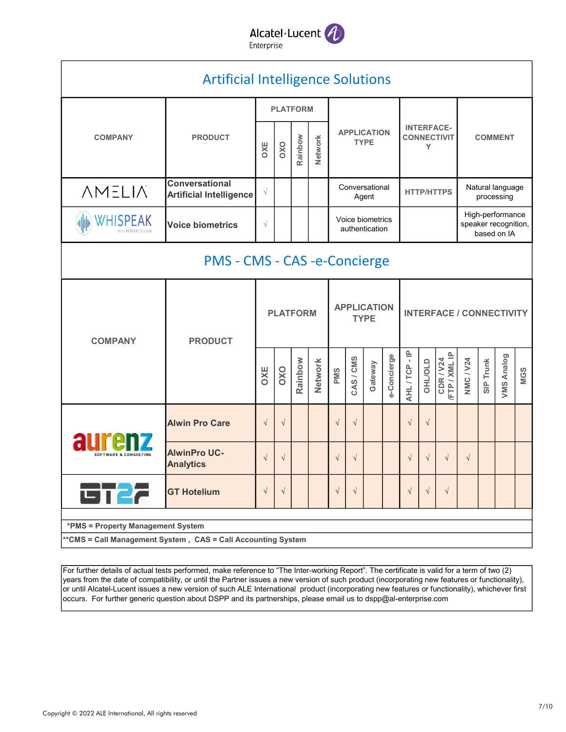

|                                                             | <b>Artificial Intelligence Solutions</b>                |            |                                                                                                                                                                                                                                                                                                                                                                                                                                                                                                                                                                                                                                                                                                                               |         |         |                                   |  |  |  |   |  |                                                                                                                                                                    |  |  |  |
|-------------------------------------------------------------|---------------------------------------------------------|------------|-------------------------------------------------------------------------------------------------------------------------------------------------------------------------------------------------------------------------------------------------------------------------------------------------------------------------------------------------------------------------------------------------------------------------------------------------------------------------------------------------------------------------------------------------------------------------------------------------------------------------------------------------------------------------------------------------------------------------------|---------|---------|-----------------------------------|--|--|--|---|--|--------------------------------------------------------------------------------------------------------------------------------------------------------------------|--|--|--|
|                                                             |                                                         |            |                                                                                                                                                                                                                                                                                                                                                                                                                                                                                                                                                                                                                                                                                                                               |         |         |                                   |  |  |  |   |  | <b>COMMENT</b><br>Natural language<br>processing<br>High-performance<br>based on IA<br>VMS Analog<br><b>NMC / V24</b><br>Trunk<br>MGS<br>$rac{p}{s}$<br>$\sqrt{ }$ |  |  |  |
| <b>COMPANY</b>                                              | <b>PRODUCT</b>                                          | OXE        | OXO                                                                                                                                                                                                                                                                                                                                                                                                                                                                                                                                                                                                                                                                                                                           | Rainbow | Network | <b>APPLICATION</b><br><b>TYPE</b> |  |  |  | Y |  |                                                                                                                                                                    |  |  |  |
| <b>NMELIA</b>                                               | <b>Conversational</b><br><b>Artificial Intelligence</b> | $\sqrt{}$  |                                                                                                                                                                                                                                                                                                                                                                                                                                                                                                                                                                                                                                                                                                                               |         |         |                                   |  |  |  |   |  |                                                                                                                                                                    |  |  |  |
| <b>WHISPEAK</b><br>VOICE BIOMETRIC SOLUTION                 | <b>Voice biometrics</b>                                 | $\sqrt{}$  |                                                                                                                                                                                                                                                                                                                                                                                                                                                                                                                                                                                                                                                                                                                               |         |         |                                   |  |  |  |   |  |                                                                                                                                                                    |  |  |  |
|                                                             |                                                         |            |                                                                                                                                                                                                                                                                                                                                                                                                                                                                                                                                                                                                                                                                                                                               |         |         |                                   |  |  |  |   |  |                                                                                                                                                                    |  |  |  |
| <b>COMPANY</b>                                              | <b>PRODUCT</b>                                          |            | <b>PLATFORM</b><br><b>INTERFACE-</b><br><b>CONNECTIVIT</b><br>Conversational<br><b>HTTP/HTTPS</b><br>Agent<br>Voice biometrics<br>speaker recognition,<br>authentication<br>PMS - CMS - CAS -e-Concierge<br><b>APPLICATION</b><br><b>PLATFORM</b><br><b>INTERFACE / CONNECTIVITY</b><br><b>TYPE</b><br>AHL/TCP-IP<br>CDR / V24<br>/FTP / XML IP<br>e-Concierge<br>CAS/CMS<br>Rainbow<br>Network<br><b>OHL/OLD</b><br>Gateway<br>OXO<br>PMS<br>$\sqrt{ }$<br>$\sqrt{ }$<br>$\sqrt{ }$<br>$\sqrt{}$<br>$\sqrt{ }$<br>$\sqrt{}$<br>$\sqrt{ }$<br>$\sqrt{}$<br>$\sqrt{ }$<br>$\sqrt{ }$<br>$\sqrt{ }$<br>$\sqrt{ }$<br>$\sqrt{ }$<br>$\sqrt{}$<br>$\sqrt{ }$<br>$\sqrt{ }$<br>$\sqrt{ }$<br>$\sqrt{}$<br>$\sqrt{ }$<br>$\sqrt{ }$ |         |         |                                   |  |  |  |   |  |                                                                                                                                                                    |  |  |  |
|                                                             |                                                         | <b>DXC</b> |                                                                                                                                                                                                                                                                                                                                                                                                                                                                                                                                                                                                                                                                                                                               |         |         |                                   |  |  |  |   |  |                                                                                                                                                                    |  |  |  |
|                                                             | <b>Alwin Pro Care</b>                                   |            |                                                                                                                                                                                                                                                                                                                                                                                                                                                                                                                                                                                                                                                                                                                               |         |         |                                   |  |  |  |   |  |                                                                                                                                                                    |  |  |  |
| <b>SOFTWARE &amp; CONSULTING</b>                            | <b>AlwinPro UC-</b><br><b>Analytics</b>                 |            |                                                                                                                                                                                                                                                                                                                                                                                                                                                                                                                                                                                                                                                                                                                               |         |         |                                   |  |  |  |   |  |                                                                                                                                                                    |  |  |  |
| <b>GT27</b>                                                 | <b>GT Hotelium</b>                                      |            |                                                                                                                                                                                                                                                                                                                                                                                                                                                                                                                                                                                                                                                                                                                               |         |         |                                   |  |  |  |   |  |                                                                                                                                                                    |  |  |  |
| *PMS = Property Management System                           |                                                         |            |                                                                                                                                                                                                                                                                                                                                                                                                                                                                                                                                                                                                                                                                                                                               |         |         |                                   |  |  |  |   |  |                                                                                                                                                                    |  |  |  |
| *CMS = Call Management System, CAS = Call Accounting System |                                                         |            |                                                                                                                                                                                                                                                                                                                                                                                                                                                                                                                                                                                                                                                                                                                               |         |         |                                   |  |  |  |   |  |                                                                                                                                                                    |  |  |  |

For further details of actual tests performed, make reference to "The Inter-working Report". The certificate is valid for a term of two (2) years from the date of compatibility, or until the Partner issues a new version of such product (incorporating new features or functionality), or until Alcatel-Lucent issues a new version of such ALE International product (incorporating new features or functionality), whichever first occurs. For further generic question about DSPP and its partnerships, please email us to dspp@al-enterprise.com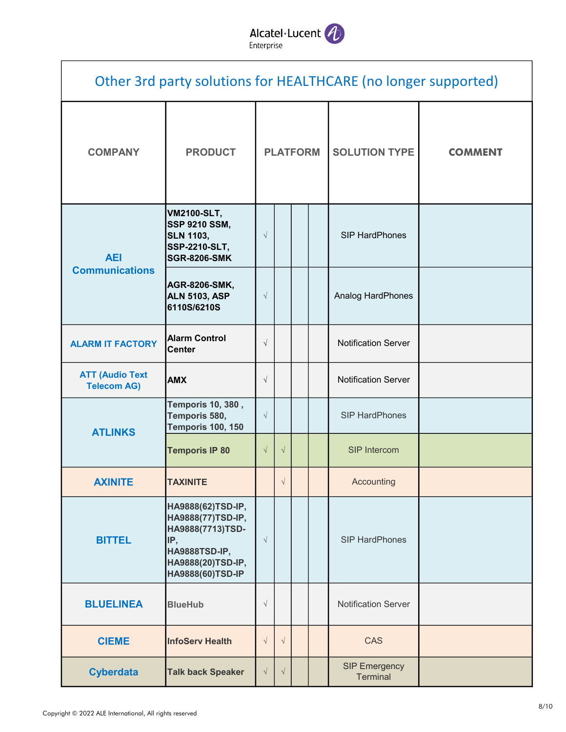

|                                              | Other 3rd party solutions for HEALTHCARE (no longer supported)                                                              |            |                 |  |  |                                  |                |  |  |  |  |  |  |  |
|----------------------------------------------|-----------------------------------------------------------------------------------------------------------------------------|------------|-----------------|--|--|----------------------------------|----------------|--|--|--|--|--|--|--|
| <b>COMPANY</b>                               | <b>PRODUCT</b>                                                                                                              |            | <b>PLATFORM</b> |  |  | <b>SOLUTION TYPE</b>             | <b>COMMENT</b> |  |  |  |  |  |  |  |
| <b>AEI</b>                                   | <b>VM2100-SLT,</b><br><b>SSP 9210 SSM,</b><br><b>SLN 1103,</b><br><b>SSP-2210-SLT,</b><br><b>SGR-8206-SMK</b>               | $\sqrt{ }$ |                 |  |  | SIP HardPhones                   |                |  |  |  |  |  |  |  |
| <b>Communications</b>                        | <b>AGR-8206-SMK,</b><br><b>ALN 5103, ASP</b><br>6110S/6210S                                                                 | $\sqrt{}$  |                 |  |  | Analog HardPhones                |                |  |  |  |  |  |  |  |
| <b>ALARM IT FACTORY</b>                      | <b>Alarm Control</b><br><b>Center</b>                                                                                       | $\sqrt{ }$ |                 |  |  | <b>Notification Server</b>       |                |  |  |  |  |  |  |  |
| <b>ATT (Audio Text</b><br><b>Telecom AG)</b> | <b>AMX</b>                                                                                                                  | $\sqrt{ }$ |                 |  |  | <b>Notification Server</b>       |                |  |  |  |  |  |  |  |
| <b>ATLINKS</b>                               | <b>Temporis 10, 380,</b><br>Temporis 580,<br><b>Temporis 100, 150</b>                                                       | $\sqrt{ }$ |                 |  |  | <b>SIP HardPhones</b>            |                |  |  |  |  |  |  |  |
|                                              | <b>Temporis IP 80</b>                                                                                                       | $\sqrt{ }$ | $\sqrt{ }$      |  |  | <b>SIP Intercom</b>              |                |  |  |  |  |  |  |  |
| <b>AXINITE</b>                               | TAXINITE                                                                                                                    |            | $\sqrt{}$       |  |  | Accounting                       |                |  |  |  |  |  |  |  |
| <b>BITTEL</b>                                | HA9888(62)TSD-IP,<br>HA9888(77)TSD-IP,<br>HA9888(7713)TSD-<br>IP,<br>HA9888TSD-IP,<br>HA9888(20)TSD-IP,<br>HA9888(60)TSD-IP | $\sqrt{}$  |                 |  |  | <b>SIP HardPhones</b>            |                |  |  |  |  |  |  |  |
| <b>BLUELINEA</b>                             | <b>BlueHub</b>                                                                                                              | $\sqrt{}$  |                 |  |  | <b>Notification Server</b>       |                |  |  |  |  |  |  |  |
| <b>CIEME</b>                                 | <b>InfoServ Health</b>                                                                                                      | $\sqrt{ }$ | $\sqrt{}$       |  |  | <b>CAS</b>                       |                |  |  |  |  |  |  |  |
| <b>Cyberdata</b>                             | <b>Talk back Speaker</b>                                                                                                    | $\sqrt{ }$ | $\sqrt{ }$      |  |  | <b>SIP Emergency</b><br>Terminal |                |  |  |  |  |  |  |  |

I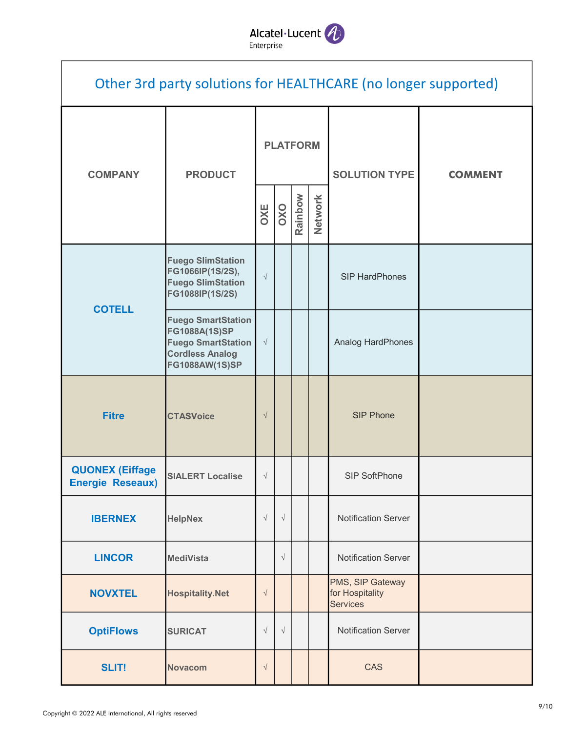Alcatel·Lucent

|                                                   |                                                                                                                            |           |                 |         |         | Other 3rd party solutions for HEALTHCARE (no longer supported) |                |  |  |
|---------------------------------------------------|----------------------------------------------------------------------------------------------------------------------------|-----------|-----------------|---------|---------|----------------------------------------------------------------|----------------|--|--|
| <b>COMPANY</b>                                    | <b>PRODUCT</b>                                                                                                             |           | <b>PLATFORM</b> |         |         | <b>SOLUTION TYPE</b>                                           | <b>COMMENT</b> |  |  |
|                                                   |                                                                                                                            | OXE       | OXO             | Rainbow | Network |                                                                |                |  |  |
| <b>COTELL</b>                                     | <b>Fuego SlimStation</b><br>FG1066IP(1S/2S),<br><b>Fuego SlimStation</b><br>FG1088IP(1S/2S)                                | $\sqrt{}$ |                 |         |         | <b>SIP HardPhones</b>                                          |                |  |  |
|                                                   | <b>Fuego SmartStation</b><br>FG1088A(1S)SP<br><b>Fuego SmartStation</b><br><b>Cordless Analog</b><br><b>FG1088AW(1S)SP</b> | $\sqrt{}$ |                 |         |         | Analog HardPhones                                              |                |  |  |
| <b>Fitre</b>                                      | <b>CTASVoice</b>                                                                                                           | $\sqrt{}$ |                 |         |         | <b>SIP Phone</b>                                               |                |  |  |
| <b>QUONEX (Eiffage</b><br><b>Energie Reseaux)</b> | <b>SIALERT Localise</b>                                                                                                    | $\sqrt{}$ |                 |         |         | SIP SoftPhone                                                  |                |  |  |
| <b>IBERNEX</b>                                    | <b>HelpNex</b>                                                                                                             | $\sqrt{}$ | $\sqrt{}$       |         |         | <b>Notification Server</b>                                     |                |  |  |
| <b>LINCOR</b>                                     | <b>MediVista</b>                                                                                                           |           | $\sqrt{}$       |         |         | <b>Notification Server</b>                                     |                |  |  |
| <b>NOVXTEL</b>                                    | <b>Hospitality.Net</b>                                                                                                     | $\sqrt{}$ |                 |         |         | PMS, SIP Gateway<br>for Hospitality<br><b>Services</b>         |                |  |  |
| <b>OptiFlows</b>                                  | <b>SURICAT</b>                                                                                                             | $\sqrt{}$ | $\sqrt{ }$      |         |         | <b>Notification Server</b>                                     |                |  |  |
| <b>SLIT!</b>                                      | <b>Novacom</b>                                                                                                             | $\sqrt{}$ |                 |         |         | <b>CAS</b>                                                     |                |  |  |